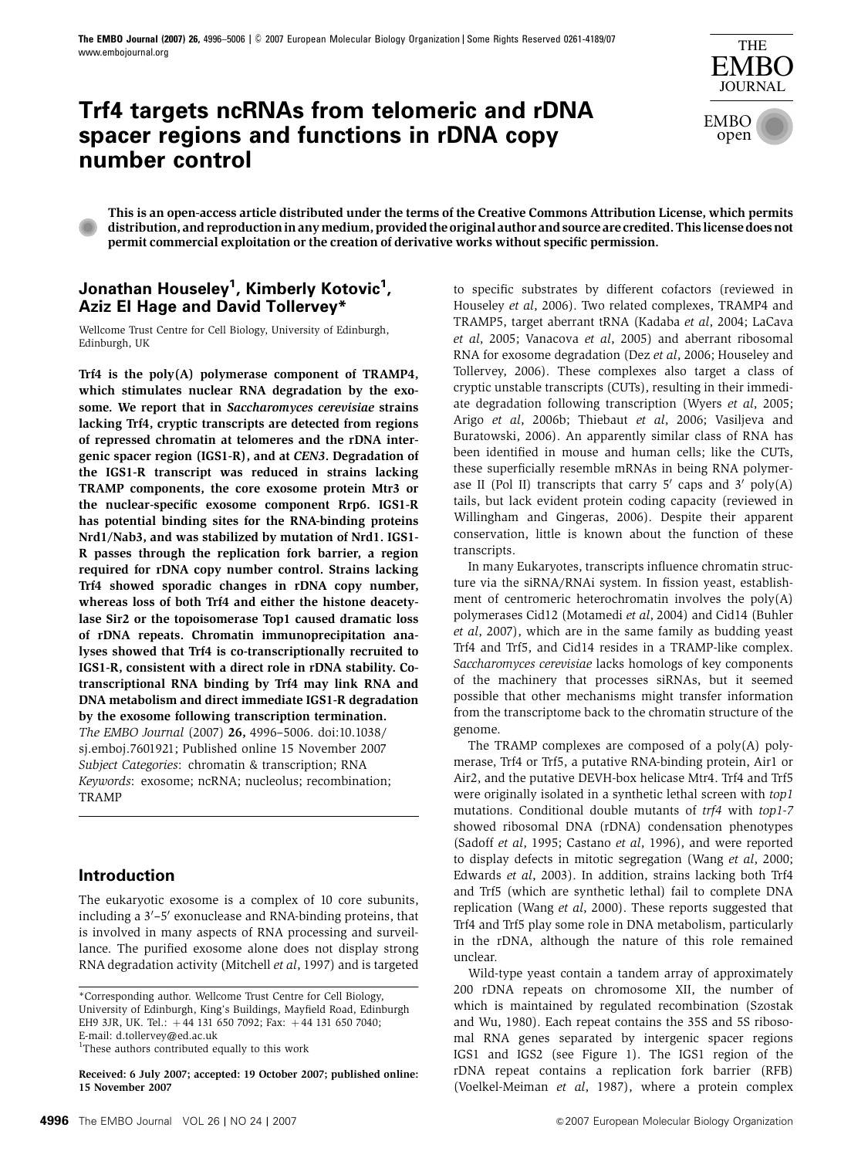# **Trf4 targets ncRNAs from telomeric and rDNA spacer regions and functions in rDNA copy number control**



This is an open-access article distributed under the terms of the Creative Commons Attribution License, which permits distribution,andreproductioninanymedium,providedtheoriginalauthorandsourcearecredited.Thislicensedoesnot permit commercial exploitation or the creation of derivative works without specific permission.

# **Jonathan Houseley1 , Kimberly Kotovic1 , Aziz El Hage and David Tollervey\***

Wellcome Trust Centre for Cell Biology, University of Edinburgh, Edinburgh, UK

Trf4 is the poly(A) polymerase component of TRAMP4, which stimulates nuclear RNA degradation by the exosome. We report that in Saccharomyces cerevisiae strains lacking Trf4, cryptic transcripts are detected from regions of repressed chromatin at telomeres and the rDNA intergenic spacer region (IGS1-R), and at CEN3. Degradation of the IGS1-R transcript was reduced in strains lacking TRAMP components, the core exosome protein Mtr3 or the nuclear-specific exosome component Rrp6. IGS1-R has potential binding sites for the RNA-binding proteins Nrd1/Nab3, and was stabilized by mutation of Nrd1. IGS1- R passes through the replication fork barrier, a region required for rDNA copy number control. Strains lacking Trf4 showed sporadic changes in rDNA copy number, whereas loss of both Trf4 and either the histone deacetylase Sir2 or the topoisomerase Top1 caused dramatic loss of rDNA repeats. Chromatin immunoprecipitation analyses showed that Trf4 is co-transcriptionally recruited to IGS1-R, consistent with a direct role in rDNA stability. Cotranscriptional RNA binding by Trf4 may link RNA and DNA metabolism and direct immediate IGS1-R degradation by the exosome following transcription termination. The EMBO Journal (2007) 26, 4996–5006. doi:[10.1038/](http://dx.doi.org/10.1038/sj.emboj.7601921) [sj.emboj.7601921;](http://dx.doi.org/10.1038/sj.emboj.7601921) Published online 15 November 2007 Subject Categories: chromatin & transcription; RNA Keywords: exosome; ncRNA; nucleolus; recombination; TRAMP

# **Introduction**

The eukaryotic exosome is a complex of 10 core subunits, including a 3'-5' exonuclease and RNA-binding proteins, that is involved in many aspects of RNA processing and surveillance. The purified exosome alone does not display strong RNA degradation activity ([Mitchell](#page-10-0) et al, 1997) and is targeted

<sup>1</sup>These authors contributed equally to this work

Received: 6 July 2007; accepted: 19 October 2007; published online: 15 November 2007

to specific substrates by different cofactors (reviewed in [Houseley](#page-10-0) et al, 2006). Two related complexes, TRAMP4 and TRAMP5, target aberrant tRNA [\(Kadaba](#page-10-0) et al, 2004; [LaCava](#page-10-0) et al[, 2005; Vanacova](#page-10-0) et al, 2005) and aberrant ribosomal RNA for exosome degradation (Dez et al[, 2006;](#page-9-0) [Houseley and](#page-10-0) [Tollervey, 2006](#page-10-0)). These complexes also target a class of cryptic unstable transcripts (CUTs), resulting in their immediate degradation following transcription (Wyers et al[, 2005;](#page-10-0) Arigo et al[, 2006b;](#page-9-0) [Thiebaut](#page-10-0) et al, 2006; [Vasiljeva and](#page-10-0) [Buratowski, 2006\)](#page-10-0). An apparently similar class of RNA has been identified in mouse and human cells; like the CUTs, these superficially resemble mRNAs in being RNA polymerase II (Pol II) transcripts that carry  $5'$  caps and  $3'$  poly(A) tails, but lack evident protein coding capacity (reviewed in [Willingham and Gingeras, 2006](#page-10-0)). Despite their apparent conservation, little is known about the function of these transcripts.

In many Eukaryotes, transcripts influence chromatin structure via the siRNA/RNAi system. In fission yeast, establishment of centromeric heterochromatin involves the poly(A) polymerases Cid12 ([Motamedi](#page-10-0) et al, 2004) and Cid14 ([Buhler](#page-9-0) et al[, 2007\)](#page-9-0), which are in the same family as budding yeast Trf4 and Trf5, and Cid14 resides in a TRAMP-like complex. Saccharomyces cerevisiae lacks homologs of key components of the machinery that processes siRNAs, but it seemed possible that other mechanisms might transfer information from the transcriptome back to the chromatin structure of the genome.

The TRAMP complexes are composed of a poly(A) polymerase, Trf4 or Trf5, a putative RNA-binding protein, Air1 or Air2, and the putative DEVH-box helicase Mtr4. Trf4 and Trf5 were originally isolated in a synthetic lethal screen with top1 mutations. Conditional double mutants of trf4 with top1-7 showed ribosomal DNA (rDNA) condensation phenotypes [\(Sadoff](#page-10-0) et al, 1995; [Castano](#page-9-0) et al, 1996), and were reported to display defects in mitotic segregation (Wang et al[, 2000;](#page-10-0) [Edwards](#page-9-0) et al, 2003). In addition, strains lacking both Trf4 and Trf5 (which are synthetic lethal) fail to complete DNA replication (Wang et al[, 2000](#page-10-0)). These reports suggested that Trf4 and Trf5 play some role in DNA metabolism, particularly in the rDNA, although the nature of this role remained unclear.

Wild-type yeast contain a tandem array of approximately 200 rDNA repeats on chromosome XII, the number of which is maintained by regulated recombination ([Szostak](#page-10-0) [and Wu, 1980](#page-10-0)). Each repeat contains the 35S and 5S ribosomal RNA genes separated by intergenic spacer regions IGS1 and IGS2 (see [Figure 1\)](#page-1-0). The IGS1 region of the rDNA repeat contains a replication fork barrier (RFB) [\(Voelkel-Meiman](#page-10-0) et al, 1987), where a protein complex

<sup>\*</sup>Corresponding author. Wellcome Trust Centre for Cell Biology, University of Edinburgh, King's Buildings, Mayfield Road, Edinburgh EH9 3JR, UK. Tel.:  $+44$  131 650 7092; Fax:  $+44$  131 650 7040; E-mail: [d.tollervey@ed.ac.uk](mailto:d.tollervey@ed.ac.uk)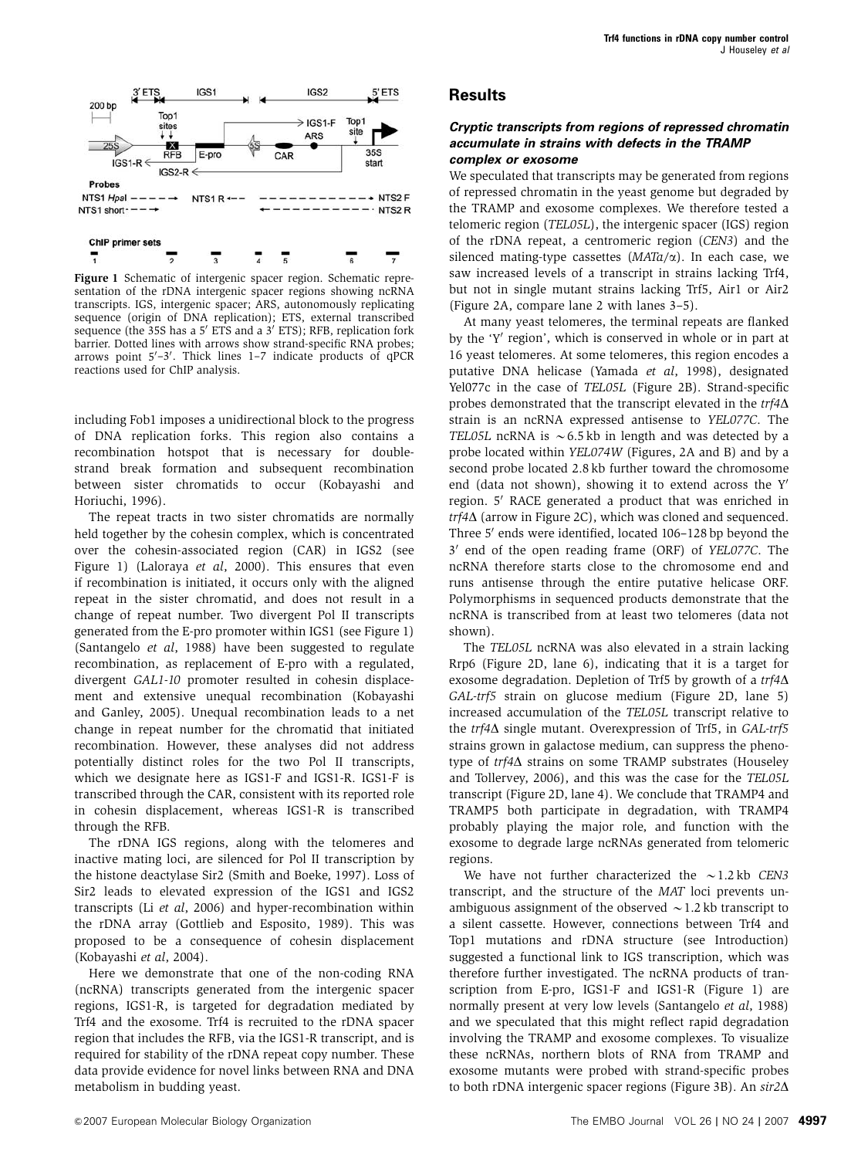<span id="page-1-0"></span>

Figure 1 Schematic of intergenic spacer region. Schematic representation of the rDNA intergenic spacer regions showing ncRNA transcripts. IGS, intergenic spacer; ARS, autonomously replicating sequence (origin of DNA replication); ETS, external transcribed sequence (the 35S has a  $5'$  ETS and a  $3'$  ETS); RFB, replication fork barrier. Dotted lines with arrows show strand-specific RNA probes; arrows point 5'-3'. Thick lines 1-7 indicate products of qPCR reactions used for ChIP analysis.

including Fob1 imposes a unidirectional block to the progress of DNA replication forks. This region also contains a recombination hotspot that is necessary for doublestrand break formation and subsequent recombination between sister chromatids to occur ([Kobayashi and](#page-10-0) [Horiuchi, 1996](#page-10-0)).

The repeat tracts in two sister chromatids are normally held together by the cohesin complex, which is concentrated over the cohesin-associated region (CAR) in IGS2 (see Figure 1) ([Laloraya](#page-10-0) et al, 2000). This ensures that even if recombination is initiated, it occurs only with the aligned repeat in the sister chromatid, and does not result in a change of repeat number. Two divergent Pol II transcripts generated from the E-pro promoter within IGS1 (see Figure 1) [\(Santangelo](#page-10-0) et al, 1988) have been suggested to regulate recombination, as replacement of E-pro with a regulated, divergent GAL1-10 promoter resulted in cohesin displacement and extensive unequal recombination ([Kobayashi](#page-10-0) [and Ganley, 2005\)](#page-10-0). Unequal recombination leads to a net change in repeat number for the chromatid that initiated recombination. However, these analyses did not address potentially distinct roles for the two Pol II transcripts, which we designate here as IGS1-F and IGS1-R. IGS1-F is transcribed through the CAR, consistent with its reported role in cohesin displacement, whereas IGS1-R is transcribed through the RFB.

The rDNA IGS regions, along with the telomeres and inactive mating loci, are silenced for Pol II transcription by the histone deactylase Sir2 ([Smith and Boeke, 1997](#page-10-0)). Loss of Sir2 leads to elevated expression of the IGS1 and IGS2 transcripts (Li et al[, 2006](#page-10-0)) and hyper-recombination within the rDNA array [\(Gottlieb and Esposito, 1989](#page-10-0)). This was proposed to be a consequence of cohesin displacement [\(Kobayashi](#page-10-0) et al, 2004).

Here we demonstrate that one of the non-coding RNA (ncRNA) transcripts generated from the intergenic spacer regions, IGS1-R, is targeted for degradation mediated by Trf4 and the exosome. Trf4 is recruited to the rDNA spacer region that includes the RFB, via the IGS1-R transcript, and is required for stability of the rDNA repeat copy number. These data provide evidence for novel links between RNA and DNA metabolism in budding yeast.

#### **Cryptic transcripts from regions of repressed chromatin accumulate in strains with defects in the TRAMP complex or exosome**

We speculated that transcripts may be generated from regions of repressed chromatin in the yeast genome but degraded by the TRAMP and exosome complexes. We therefore tested a telomeric region (TEL05L), the intergenic spacer (IGS) region of the rDNA repeat, a centromeric region (CEN3) and the silenced mating-type cassettes  $(MATa/\alpha)$ . In each case, we saw increased levels of a transcript in strains lacking Trf4, but not in single mutant strains lacking Trf5, Air1 or Air2 [\(Figure 2A,](#page-2-0) compare lane 2 with lanes 3–5).

At many yeast telomeres, the terminal repeats are flanked by the 'Y' region', which is conserved in whole or in part at 16 yeast telomeres. At some telomeres, this region encodes a putative DNA helicase [\(Yamada](#page-10-0) et al, 1998), designated Yel077c in the case of TEL05L [\(Figure 2B](#page-2-0)). Strand-specific probes demonstrated that the transcript elevated in the  $trf4\Delta$ strain is an ncRNA expressed antisense to YEL077C. The TEL05L ncRNA is  $\sim$  6.5 kb in length and was detected by a probe located within YEL074W [\(Figures, 2A and B\)](#page-2-0) and by a second probe located 2.8 kb further toward the chromosome end (data not shown), showing it to extend across the  $Y'$ region. 5' RACE generated a product that was enriched in  $trf4\Delta$  (arrow in [Figure 2C\)](#page-2-0), which was cloned and sequenced. Three 5' ends were identified, located 106-128 bp beyond the 3' end of the open reading frame (ORF) of YEL077C. The ncRNA therefore starts close to the chromosome end and runs antisense through the entire putative helicase ORF. Polymorphisms in sequenced products demonstrate that the ncRNA is transcribed from at least two telomeres (data not shown).

The TEL05L ncRNA was also elevated in a strain lacking Rrp6 ([Figure 2D,](#page-2-0) lane 6), indicating that it is a target for exosome degradation. Depletion of Trf5 by growth of a  $trf4\Delta$ GAL-trf5 strain on glucose medium [\(Figure 2D](#page-2-0), lane 5) increased accumulation of the TEL05L transcript relative to the  $trf4\Delta$  single mutant. Overexpression of Trf5, in GAL-trf5 strains grown in galactose medium, can suppress the phenotype of  $trf4\Delta$  strains on some TRAMP substrates [\(Houseley](#page-10-0) [and Tollervey, 2006](#page-10-0)), and this was the case for the TEL05L transcript [\(Figure 2D,](#page-2-0) lane 4). We conclude that TRAMP4 and TRAMP5 both participate in degradation, with TRAMP4 probably playing the major role, and function with the exosome to degrade large ncRNAs generated from telomeric regions.

We have not further characterized the  $\sim$  1.2 kb CEN3 transcript, and the structure of the MAT loci prevents unambiguous assignment of the observed  $\sim$  1.2 kb transcript to a silent cassette. However, connections between Trf4 and Top1 mutations and rDNA structure (see Introduction) suggested a functional link to IGS transcription, which was therefore further investigated. The ncRNA products of transcription from E-pro, IGS1-F and IGS1-R (Figure 1) are normally present at very low levels ([Santangelo](#page-10-0) et al, 1988) and we speculated that this might reflect rapid degradation involving the TRAMP and exosome complexes. To visualize these ncRNAs, northern blots of RNA from TRAMP and exosome mutants were probed with strand-specific probes to both rDNA intergenic spacer regions [\(Figure 3B](#page-3-0)). An  $\sin 2\Delta$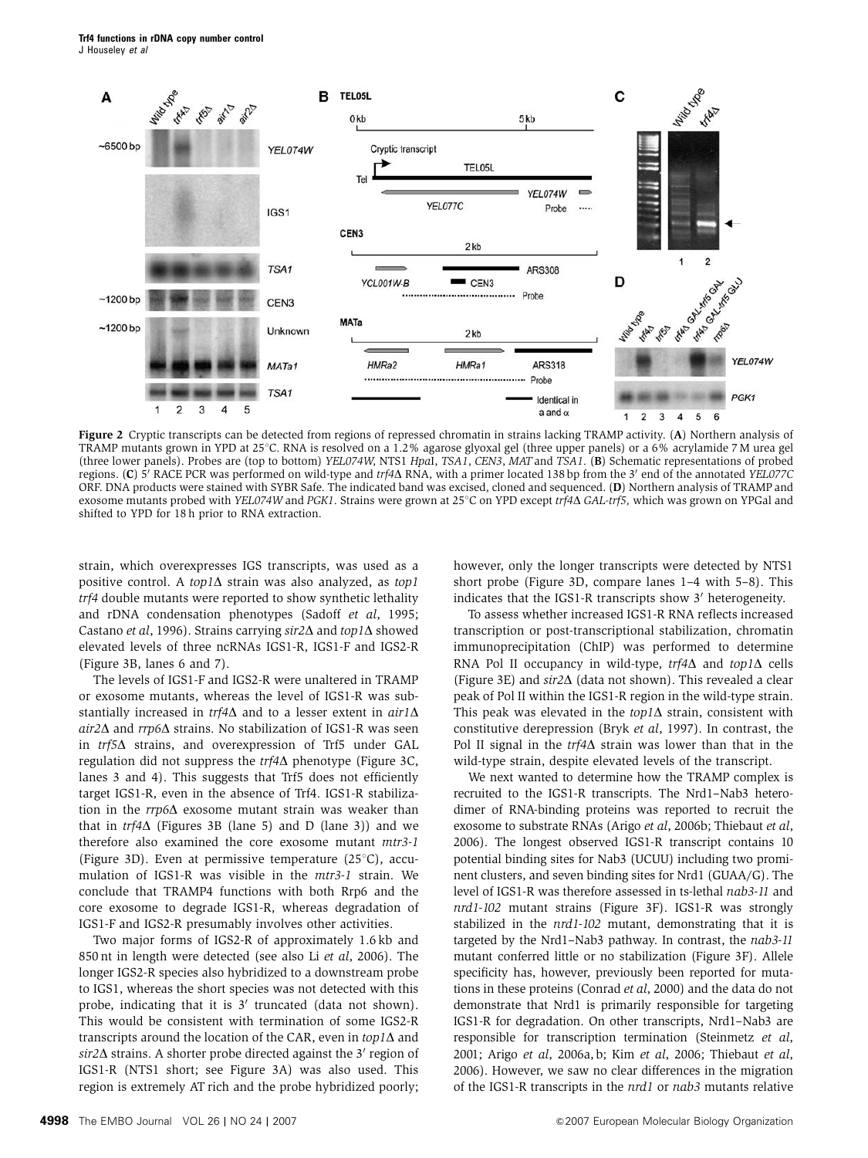<span id="page-2-0"></span>Trf4 functions in rDNA copy number control J Houseley et al



Figure 2 Cryptic transcripts can be detected from regions of repressed chromatin in strains lacking TRAMP activity. (A) Northern analysis of TRAMP mutants grown in YPD at 25°C. RNA is resolved on a 1.2% agarose glyoxal gel (three upper panels) or a 6% acrylamide 7 M urea gel (three lower panels). Probes are (top to bottom) YEL074W, NTS1 HpaI, TSA1, CEN3, MAT and TSA1. (B) Schematic representations of probed regions. (C)  $\bar{5}$ <sup>'</sup> RACE PCR was performed on wild-type and trf4 $\Delta$  RNA, with a primer located 138 bp from the 3<sup>'</sup> end of the annotated YEL077C ORF. DNA products were stained with SYBR Safe. The indicated band was excised, cloned and sequenced. (D) Northern analysis of TRAMP and exosome mutants probed with YEL074W and PGK1. Strains were grown at 25°C on YPD except  $trf4\Delta$  GAL-trf5, which was grown on YPGal and shifted to YPD for 18 h prior to RNA extraction.

strain, which overexpresses IGS transcripts, was used as a positive control. A top1 $\Delta$  strain was also analyzed, as top1 trf4 double mutants were reported to show synthetic lethality and rDNA condensation phenotypes (Sadoff et al[, 1995;](#page-10-0) [Castano](#page-9-0) et al, 1996). Strains carrying  $\sin 2\Delta$  and  $\tan 1\Delta$  showed elevated levels of three ncRNAs IGS1-R, IGS1-F and IGS2-R [\(Figure 3B](#page-3-0), lanes 6 and 7).

The levels of IGS1-F and IGS2-R were unaltered in TRAMP or exosome mutants, whereas the level of IGS1-R was substantially increased in  $trf4\Delta$  and to a lesser extent in  $air1\Delta$ air2 $\Delta$  and  $rrp6\Delta$  strains. No stabilization of IGS1-R was seen in  $trf5\Delta$  strains, and overexpression of Trf5 under GAL regulation did not suppress the  $trf4\Delta$  phenotype [\(Figure 3C,](#page-3-0) lanes 3 and 4). This suggests that Trf5 does not efficiently target IGS1-R, even in the absence of Trf4. IGS1-R stabilization in the  $rrp6\Delta$  exosome mutant strain was weaker than that in  $trf4\Delta$  ([Figures 3B](#page-3-0) (lane 5) and D (lane 3)) and we therefore also examined the core exosome mutant mtr3-1 [\(Figure 3D](#page-3-0)). Even at permissive temperature  $(25^{\circ}C)$ , accumulation of IGS1-R was visible in the mtr3-1 strain. We conclude that TRAMP4 functions with both Rrp6 and the core exosome to degrade IGS1-R, whereas degradation of IGS1-F and IGS2-R presumably involves other activities.

Two major forms of IGS2-R of approximately 1.6 kb and 850 nt in length were detected (see also Li et al[, 2006](#page-10-0)). The longer IGS2-R species also hybridized to a downstream probe to IGS1, whereas the short species was not detected with this probe, indicating that it is  $3'$  truncated (data not shown). This would be consistent with termination of some IGS2-R transcripts around the location of the CAR, even in  $top1\Delta$  and  $sir2\Delta$  strains. A shorter probe directed against the 3' region of IGS1-R (NTS1 short; see [Figure 3A](#page-3-0)) was also used. This region is extremely AT rich and the probe hybridized poorly; however, only the longer transcripts were detected by NTS1 short probe ([Figure 3D,](#page-3-0) compare lanes 1–4 with 5–8). This indicates that the IGS1-R transcripts show 3' heterogeneity.

To assess whether increased IGS1-R RNA reflects increased transcription or post-transcriptional stabilization, chromatin immunoprecipitation (ChIP) was performed to determine RNA Pol II occupancy in wild-type,  $trf4\Delta$  and  $top1\Delta$  cells [\(Figure 3E](#page-3-0)) and  $\sin 2\Delta$  (data not shown). This revealed a clear peak of Pol II within the IGS1-R region in the wild-type strain. This peak was elevated in the  $top1\Delta$  strain, consistent with constitutive derepression (Bryk et al[, 1997\)](#page-9-0). In contrast, the Pol II signal in the  $trf4\Delta$  strain was lower than that in the wild-type strain, despite elevated levels of the transcript.

We next wanted to determine how the TRAMP complex is recruited to the IGS1-R transcripts. The Nrd1–Nab3 heterodimer of RNA-binding proteins was reported to recruit the exosome to substrate RNAs (Arigo et al[, 2006b](#page-9-0); [Thiebaut](#page-10-0) et al, [2006](#page-10-0)). The longest observed IGS1-R transcript contains 10 potential binding sites for Nab3 (UCUU) including two prominent clusters, and seven binding sites for Nrd1 (GUAA/G). The level of IGS1-R was therefore assessed in ts-lethal nab3-11 and nrd1-102 mutant strains [\(Figure 3F](#page-3-0)). IGS1-R was strongly stabilized in the nrd1-102 mutant, demonstrating that it is targeted by the Nrd1–Nab3 pathway. In contrast, the nab3-11 mutant conferred little or no stabilization [\(Figure 3F\)](#page-3-0). Allele specificity has, however, previously been reported for mutations in these proteins ([Conrad](#page-9-0) et al, 2000) and the data do not demonstrate that Nrd1 is primarily responsible for targeting IGS1-R for degradation. On other transcripts, Nrd1–Nab3 are responsible for transcription termination [\(Steinmetz](#page-10-0) et al, [2001](#page-10-0); Arigo et al[, 2006a, b;](#page-9-0) Kim et al[, 2006; Thiebaut](#page-10-0) et al, [2006](#page-10-0)). However, we saw no clear differences in the migration of the IGS1-R transcripts in the nrd1 or nab3 mutants relative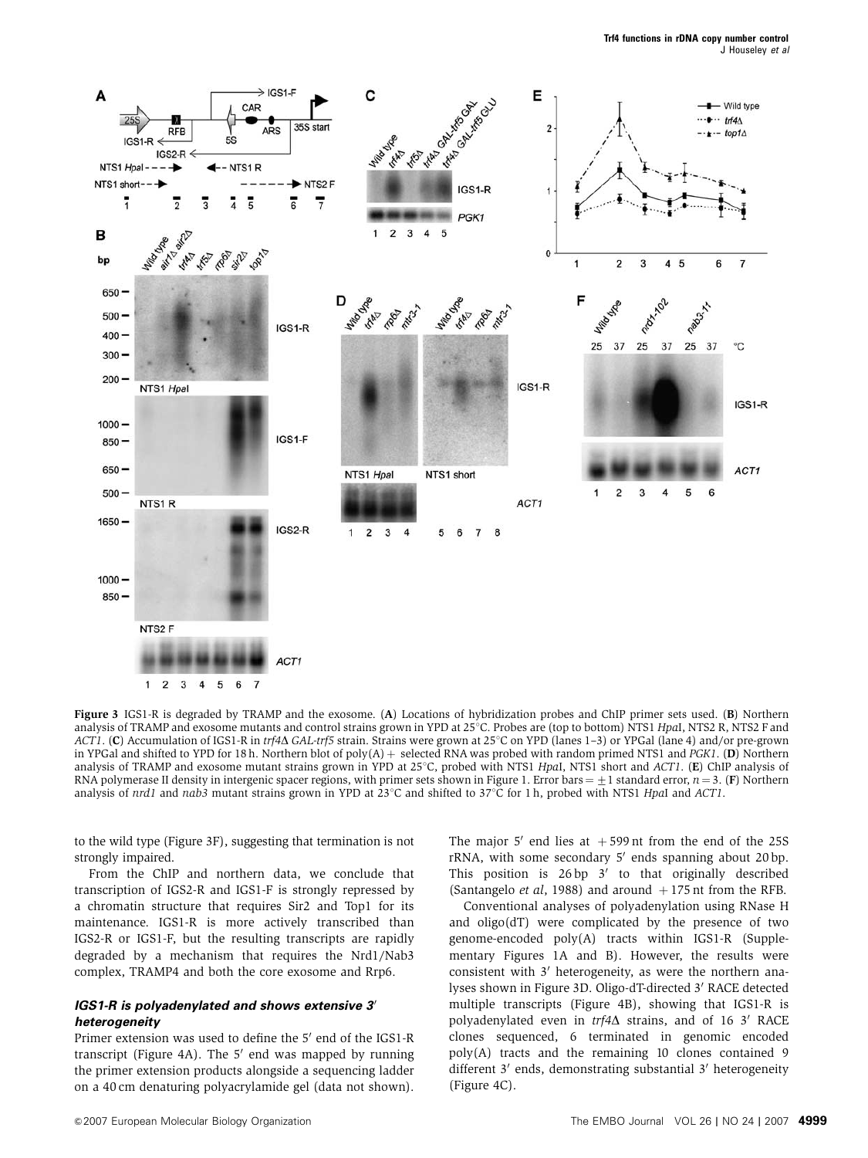<span id="page-3-0"></span>

Figure 3 IGS1-R is degraded by TRAMP and the exosome. (A) Locations of hybridization probes and ChIP primer sets used. (B) Northern analysis of TRAMP and exosome mutants and control strains grown in YPD at 25°C. Probes are (top to bottom) NTS1 HpaI, NTS2 R, NTS2 F and ACT1. (C) Accumulation of IGS1-R in trf4 $\Delta$  GAL-trf5 strain. Strains were grown at 25°C on YPD (lanes 1–3) or YPGal (lane 4) and/or pre-grown in YPGal and shifted to YPD for 18 h. Northern blot of poly $(A)$  + selected RNA was probed with random primed NTS1 and PGK1. (D) Northern analysis of TRAMP and exosome mutant strains grown in YPD at  $25^{\circ}$ C, probed with NTS1 HpaI, NTS1 short and ACT1. (E) ChIP analysis of RNA polymerase II density in intergenic spacer regions, with primer sets shown in [Figure 1.](#page-1-0) Error bars =  $\pm$ 1 standard error,  $n = 3$ . (F) Northern analysis of  $nrd1$  and  $nab3$  mutant strains grown in YPD at  $23^{\circ}$ C and shifted to  $37^{\circ}$ C for 1 h, probed with NTS1 HpaI and ACT1.

to the wild type (Figure 3F), suggesting that termination is not strongly impaired.

From the ChIP and northern data, we conclude that transcription of IGS2-R and IGS1-F is strongly repressed by a chromatin structure that requires Sir2 and Top1 for its maintenance. IGS1-R is more actively transcribed than IGS2-R or IGS1-F, but the resulting transcripts are rapidly degraded by a mechanism that requires the Nrd1/Nab3 complex, TRAMP4 and both the core exosome and Rrp6.

#### **IGS1-R is polyadenylated and shows extensive 3' heterogeneity**

Primer extension was used to define the 5' end of the IGS1-R transcript [\(Figure 4A\)](#page-4-0). The  $5'$  end was mapped by running the primer extension products alongside a sequencing ladder on a 40 cm denaturing polyacrylamide gel (data not shown).

The major 5' end lies at  $+599$  nt from the end of the 25S  $rRNA$ , with some secondary  $5'$  ends spanning about 20 bp. This position is  $26 bp \frac{3}{ }$  to that originally described [\(Santangelo](#page-10-0) *et al*, 1988) and around  $+175$  nt from the RFB.

Conventional analyses of polyadenylation using RNase H and oligo(dT) were complicated by the presence of two genome-encoded poly(A) tracts within IGS1-R (Supplementary Figures 1A and B). However, the results were consistent with  $3'$  heterogeneity, as were the northern analyses shown in Figure 3D. Oligo-dT-directed 3' RACE detected multiple transcripts [\(Figure 4B\)](#page-4-0), showing that IGS1-R is polyadenylated even in  $trf4\Delta$  strains, and of 16 3' RACE clones sequenced, 6 terminated in genomic encoded poly(A) tracts and the remaining 10 clones contained 9 different  $3'$  ends, demonstrating substantial  $3'$  heterogeneity [\(Figure 4C](#page-4-0)).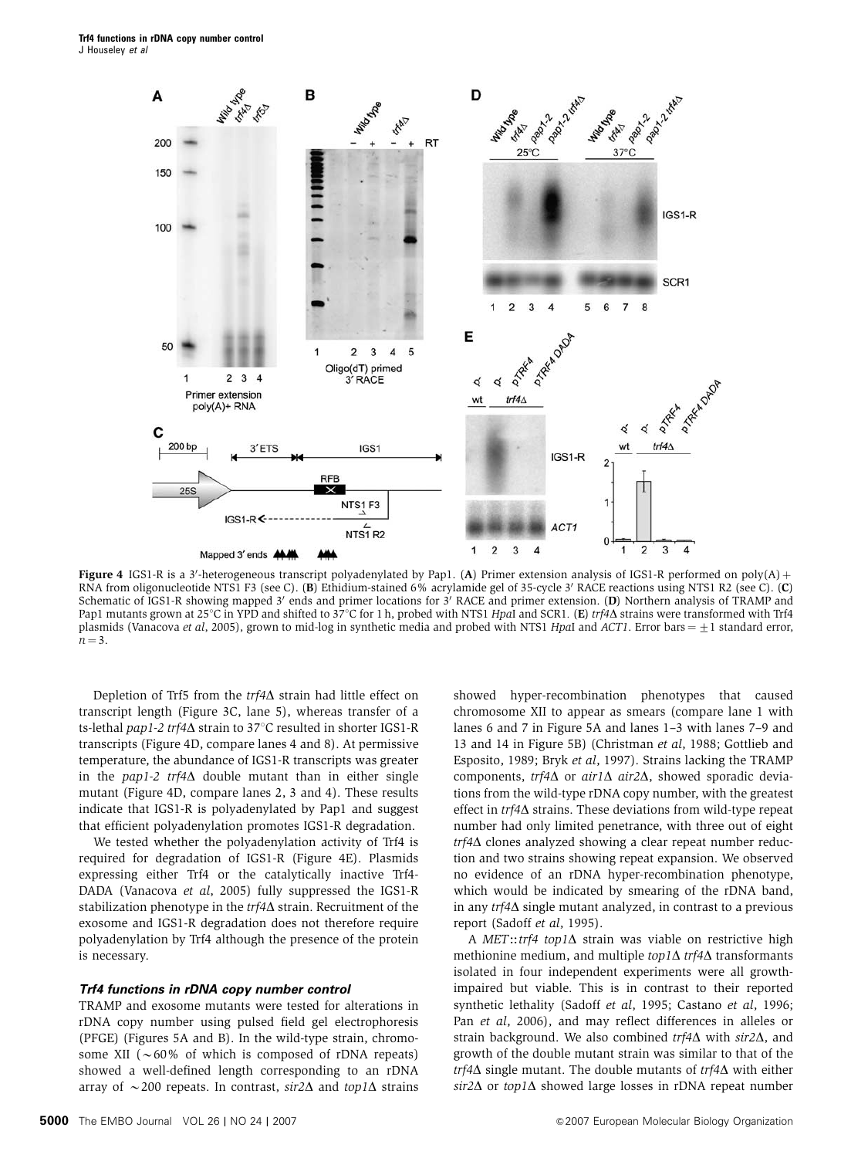<span id="page-4-0"></span>

Figure 4 IGS1-R is a 3'-heterogeneous transcript polyadenylated by Pap1. (A) Primer extension analysis of IGS1-R performed on poly(A) + RNA from oligonucleotide NTS1 F3 (see C). (B) Ethidium-stained 6% acrylamide gel of 35-cycle 3' RACE reactions using NTS1 R2 (see C). (C) Schematic of IGS1-R showing mapped 3' ends and primer locations for  $3'$  RACE and primer extension. (D) Northern analysis of TRAMP and Pap1 mutants grown at 25°C in YPD and shifted to 37°C for 1 h, probed with NTS1 HpaI and SCR1. (E) trf4 $\Delta$  strains were transformed with Trf4 plasmids [\(Vanacova](#page-10-0) *et al*, 2005), grown to mid-log in synthetic media and probed with NTS1 HpaI and ACT1. Error bars  $= \pm 1$  standard error,  $n = 3$ .

Depletion of Trf5 from the  $trf4\Delta$  strain had little effect on transcript length [\(Figure 3C,](#page-3-0) lane 5), whereas transfer of a ts-lethal pap1-2 trf4 $\Delta$  strain to 37°C resulted in shorter IGS1-R transcripts (Figure 4D, compare lanes 4 and 8). At permissive temperature, the abundance of IGS1-R transcripts was greater in the pap1-2  $trf4\Delta$  double mutant than in either single mutant (Figure 4D, compare lanes 2, 3 and 4). These results indicate that IGS1-R is polyadenylated by Pap1 and suggest that efficient polyadenylation promotes IGS1-R degradation.

We tested whether the polyadenylation activity of Trf4 is required for degradation of IGS1-R (Figure 4E). Plasmids expressing either Trf4 or the catalytically inactive Trf4- DADA [\(Vanacova](#page-10-0) et al, 2005) fully suppressed the IGS1-R stabilization phenotype in the  $trf4\Delta$  strain. Recruitment of the exosome and IGS1-R degradation does not therefore require polyadenylation by Trf4 although the presence of the protein is necessary.

#### **Trf4 functions in rDNA copy number control**

TRAMP and exosome mutants were tested for alterations in rDNA copy number using pulsed field gel electrophoresis (PFGE) ([Figures 5A and B\)](#page-5-0). In the wild-type strain, chromosome XII ( $\sim 60\%$  of which is composed of rDNA repeats) showed a well-defined length corresponding to an rDNA array of  $\sim$  200 repeats. In contrast, sir2 $\Delta$  and top1 $\Delta$  strains

**5000** The EMBO Journal VOL 26 | NO 24 | 2007 **And 2007 And 2007 European Molecular Biology Organization** 

showed hyper-recombination phenotypes that caused chromosome XII to appear as smears (compare lane 1 with lanes 6 and 7 in [Figure 5A](#page-5-0) and lanes 1–3 with lanes 7–9 and 13 and 14 [in Figure 5B](#page-5-0)) ([Christman](#page-9-0) et al, 1988; [Gottlieb and](#page-10-0) [Esposito, 1989;](#page-10-0) Bryk et al[, 1997\)](#page-9-0). Strains lacking the TRAMP components,  $trf4\Delta$  or air1 $\Delta$  air2 $\Delta$ , showed sporadic deviations from the wild-type rDNA copy number, with the greatest effect in  $trf4\Delta$  strains. These deviations from wild-type repeat number had only limited penetrance, with three out of eight  $trf4\Delta$  clones analyzed showing a clear repeat number reduction and two strains showing repeat expansion. We observed no evidence of an rDNA hyper-recombination phenotype, which would be indicated by smearing of the rDNA band, in any  $trf4\Delta$  single mutant analyzed, in contrast to a previous report [\(Sadoff](#page-10-0) et al, 1995).

A MET::trf4 top1 $\Delta$  strain was viable on restrictive high methionine medium, and multiple  $top1\Delta$  transformants isolated in four independent experiments were all growthimpaired but viable. This is in contrast to their reported synthetic lethality (Sadoff et al[, 1995](#page-10-0); [Castano](#page-9-0) et al, 1996; Pan et al[, 2006\)](#page-10-0), and may reflect differences in alleles or strain background. We also combined  $trf4\Delta$  with  $sir2\Delta$ , and growth of the double mutant strain was similar to that of the  $trf4\Delta$  single mutant. The double mutants of  $trf4\Delta$  with either  $sir2\Delta$  or top1 $\Delta$  showed large losses in rDNA repeat number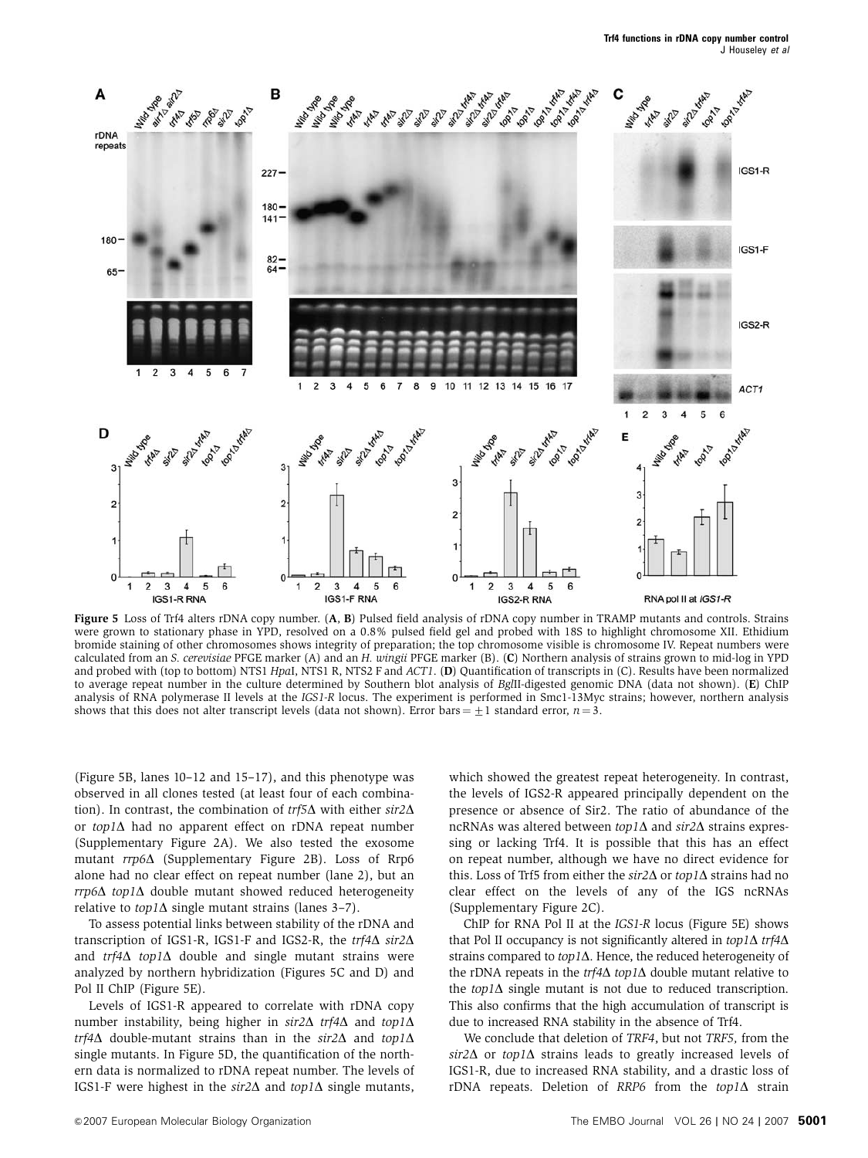<span id="page-5-0"></span>

Figure 5 Loss of Trf4 alters rDNA copy number. (A, B) Pulsed field analysis of rDNA copy number in TRAMP mutants and controls. Strains were grown to stationary phase in YPD, resolved on a 0.8% pulsed field gel and probed with 18S to highlight chromosome XII. Ethidium bromide staining of other chromosomes shows integrity of preparation; the top chromosome visible is chromosome IV. Repeat numbers were calculated from an S. cerevisiae PFGE marker (A) and an H. wingii PFGE marker (B). (C) Northern analysis of strains grown to mid-log in YPD and probed with (top to bottom) NTS1 HpaI, NTS1 R, NTS2 F and ACT1. (D) Quantification of transcripts in (C). Results have been normalized to average repeat number in the culture determined by Southern blot analysis of BglII-digested genomic DNA (data not shown). (E) ChIP analysis of RNA polymerase II levels at the IGS1-R locus. The experiment is performed in Smc1-13Myc strains; however, northern analysis shows that this does not alter transcript levels (data not shown). Error bars =  $+1$  standard error,  $n = 3$ .

(Figure 5B, lanes 10–12 and 15–17), and this phenotype was observed in all clones tested (at least four of each combination). In contrast, the combination of  $trf5\Delta$  with either  $sir2\Delta$ or  $top1\Delta$  had no apparent effect on rDNA repeat number (Supplementary Figure 2A). We also tested the exosome mutant  $rrp6\Delta$  (Supplementary Figure 2B). Loss of Rrp6 alone had no clear effect on repeat number (lane 2), but an  $rrp6\Delta$  top1 $\Delta$  double mutant showed reduced heterogeneity relative to  $top1\Delta$  single mutant strains (lanes 3-7).

To assess potential links between stability of the rDNA and transcription of IGS1-R, IGS1-F and IGS2-R, the  $trf4\Delta$  sir2 $\Delta$ and  $trf4\Delta$  top1 $\Delta$  double and single mutant strains were analyzed by northern hybridization (Figures 5C and D) and Pol II ChIP (Figure 5E).

Levels of IGS1-R appeared to correlate with rDNA copy number instability, being higher in  $sir2\Delta$  trf4 $\Delta$  and top1 $\Delta$  $trf4\Delta$  double-mutant strains than in the sir2 $\Delta$  and top1 $\Delta$ single mutants. In Figure 5D, the quantification of the northern data is normalized to rDNA repeat number. The levels of IGS1-F were highest in the  $sir2\Delta$  and  $top1\Delta$  single mutants,

which showed the greatest repeat heterogeneity. In contrast, the levels of IGS2-R appeared principally dependent on the presence or absence of Sir2. The ratio of abundance of the ncRNAs was altered between  $top1\Delta$  and  $sir2\Delta$  strains expressing or lacking Trf4. It is possible that this has an effect on repeat number, although we have no direct evidence for this. Loss of Trf5 from either the  $\sin 2\Delta$  or  $\tan 1\Delta$  strains had no clear effect on the levels of any of the IGS ncRNAs (Supplementary Figure 2C).

ChIP for RNA Pol II at the IGS1-R locus (Figure 5E) shows that Pol II occupancy is not significantly altered in  $top1\Delta$  trf4 $\Delta$ strains compared to  $top1\Delta$ . Hence, the reduced heterogeneity of the rDNA repeats in the  $trf4\Delta$  top1 $\Delta$  double mutant relative to the  $top1\Delta$  single mutant is not due to reduced transcription. This also confirms that the high accumulation of transcript is due to increased RNA stability in the absence of Trf4.

We conclude that deletion of TRF4, but not TRF5, from the  $sir2\Delta$  or top1 $\Delta$  strains leads to greatly increased levels of IGS1-R, due to increased RNA stability, and a drastic loss of rDNA repeats. Deletion of RRP6 from the  $top1\Delta$  strain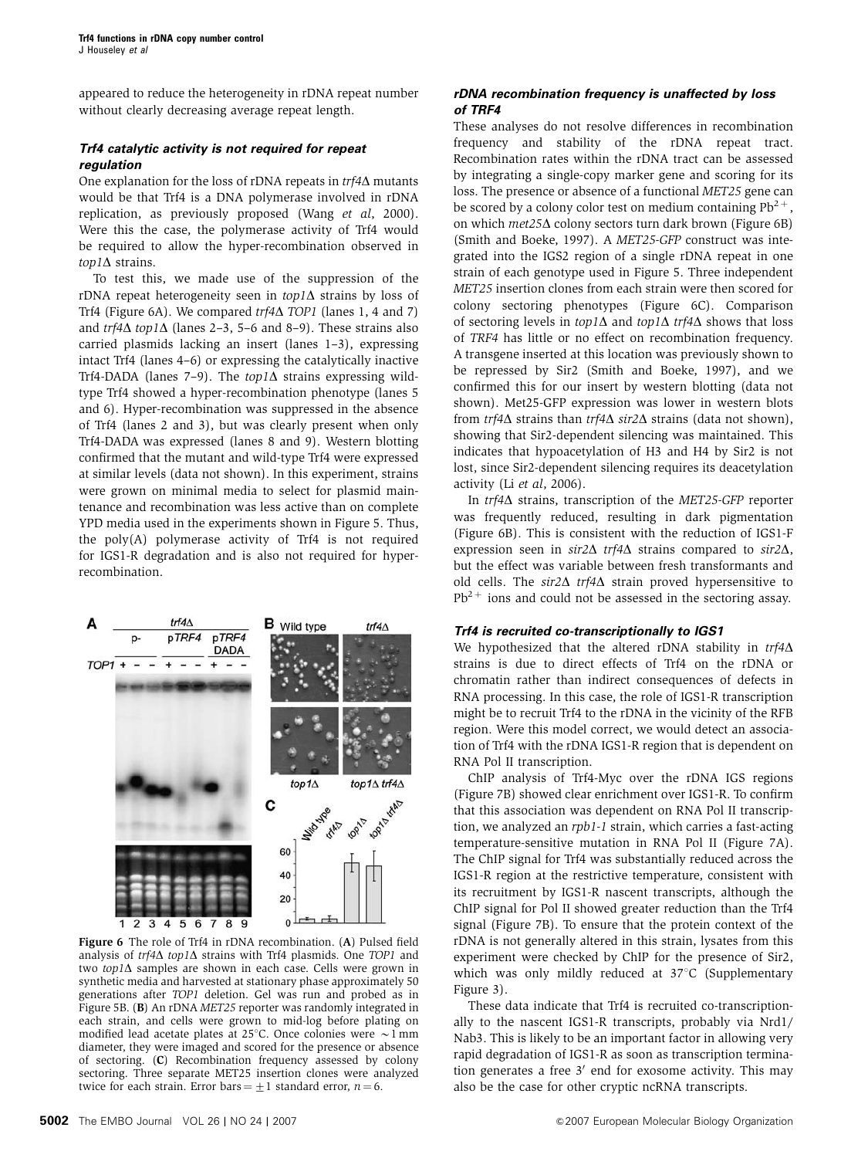appeared to reduce the heterogeneity in rDNA repeat number without clearly decreasing average repeat length.

## **Trf4 catalytic activity is not required for repeat regulation**

One explanation for the loss of rDNA repeats in  $trf4\Delta$  mutants would be that Trf4 is a DNA polymerase involved in rDNA replication, as previously proposed (Wang et al[, 2000](#page-10-0)). Were this the case, the polymerase activity of Trf4 would be required to allow the hyper-recombination observed in  $\text{top1}\Delta$  strains.

To test this, we made use of the suppression of the rDNA repeat heterogeneity seen in  $top1\Delta$  strains by loss of Trf4 (Figure 6A). We compared  $trf4\Delta$  TOP1 (lanes 1, 4 and 7) and  $trf4\Delta$  top1 $\Delta$  (lanes 2–3, 5–6 and 8–9). These strains also carried plasmids lacking an insert (lanes 1–3), expressing intact Trf4 (lanes 4–6) or expressing the catalytically inactive Trf4-DADA (lanes 7-9). The  $top1\Delta$  strains expressing wildtype Trf4 showed a hyper-recombination phenotype (lanes 5 and 6). Hyper-recombination was suppressed in the absence of Trf4 (lanes 2 and 3), but was clearly present when only Trf4-DADA was expressed (lanes 8 and 9). Western blotting confirmed that the mutant and wild-type Trf4 were expressed at similar levels (data not shown). In this experiment, strains were grown on minimal media to select for plasmid maintenance and recombination was less active than on complete YPD media used in the experiments shown in [Figure 5.](#page-5-0) Thus, the poly(A) polymerase activity of Trf4 is not required for IGS1-R degradation and is also not required for hyperrecombination.



Figure 6 The role of Trf4 in rDNA recombination. (A) Pulsed field analysis of  $trf4\Delta$  top1 $\Delta$  strains with Trf4 plasmids. One TOP1 and two top1 $\Delta$  samples are shown in each case. Cells were grown in synthetic media and harvested at stationary phase approximately 50 generations after TOP1 deletion. Gel was run and probed as in [Figure 5B.](#page-5-0) (B) An rDNA MET25 reporter was randomly integrated in each strain, and cells were grown to mid-log before plating on modified lead acetate plates at 25°C. Once colonies were  $\sim$ 1 mm diameter, they were imaged and scored for the presence or absence of sectoring. (C) Recombination frequency assessed by colony sectoring. Three separate MET25 insertion clones were analyzed twice for each strain. Error bars  $= +1$  standard error,  $n = 6$ .

### **rDNA recombination frequency is unaffected by loss of TRF4**

These analyses do not resolve differences in recombination frequency and stability of the rDNA repeat tract. Recombination rates within the rDNA tract can be assessed by integrating a single-copy marker gene and scoring for its loss. The presence or absence of a functional MET25 gene can be scored by a colony color test on medium containing  $Pb^{2+}$ , on which  $met25\Delta$  colony sectors turn dark brown (Figure 6B) [\(Smith and Boeke, 1997\)](#page-10-0). A MET25-GFP construct was integrated into the IGS2 region of a single rDNA repeat in one strain of each genotype used in [Figure 5](#page-5-0). Three independent MET25 insertion clones from each strain were then scored for colony sectoring phenotypes (Figure 6C). Comparison of sectoring levels in  $top1\Delta$  and  $top1\Delta$  trf4 $\Delta$  shows that loss of TRF4 has little or no effect on recombination frequency. A transgene inserted at this location was previously shown to be repressed by Sir2 ([Smith and Boeke, 1997](#page-10-0)), and we confirmed this for our insert by western blotting (data not shown). Met25-GFP expression was lower in western blots from  $trf4\Delta$  strains than  $trf4\Delta$  sir2 $\Delta$  strains (data not shown), showing that Sir2-dependent silencing was maintained. This indicates that hypoacetylation of H3 and H4 by Sir2 is not lost, since Sir2-dependent silencing requires its deacetylation activity (Li et al[, 2006](#page-10-0)).

In  $trf4\Delta$  strains, transcription of the MET25-GFP reporter was frequently reduced, resulting in dark pigmentation (Figure 6B). This is consistent with the reduction of IGS1-F expression seen in  $\sin 2\Delta$  trf4 $\Delta$  strains compared to  $\sin 2\Delta$ . but the effect was variable between fresh transformants and old cells. The  $sir2\Delta$  trf4 $\Delta$  strain proved hypersensitive to  $Pb^{2+}$  ions and could not be assessed in the sectoring assay.

#### **Trf4 is recruited co-transcriptionally to IGS1**

We hypothesized that the altered rDNA stability in  $trf4\Delta$ strains is due to direct effects of Trf4 on the rDNA or chromatin rather than indirect consequences of defects in RNA processing. In this case, the role of IGS1-R transcription might be to recruit Trf4 to the rDNA in the vicinity of the RFB region. Were this model correct, we would detect an association of Trf4 with the rDNA IGS1-R region that is dependent on RNA Pol II transcription.

ChIP analysis of Trf4-Myc over the rDNA IGS regions [\(Figure 7B\)](#page-7-0) showed clear enrichment over IGS1-R. To confirm that this association was dependent on RNA Pol II transcription, we analyzed an rpb1-1 strain, which carries a fast-acting temperature-sensitive mutation in RNA Pol II [\(Figure 7A](#page-7-0)). The ChIP signal for Trf4 was substantially reduced across the IGS1-R region at the restrictive temperature, consistent with its recruitment by IGS1-R nascent transcripts, although the ChIP signal for Pol II showed greater reduction than the Trf4 signal [\(Figure 7B](#page-7-0)). To ensure that the protein context of the rDNA is not generally altered in this strain, lysates from this experiment were checked by ChIP for the presence of Sir2, which was only mildly reduced at  $37^{\circ}$ C (Supplementary Figure 3).

These data indicate that Trf4 is recruited co-transcriptionally to the nascent IGS1-R transcripts, probably via Nrd1/ Nab3. This is likely to be an important factor in allowing very rapid degradation of IGS1-R as soon as transcription termination generates a free  $3'$  end for exosome activity. This may also be the case for other cryptic ncRNA transcripts.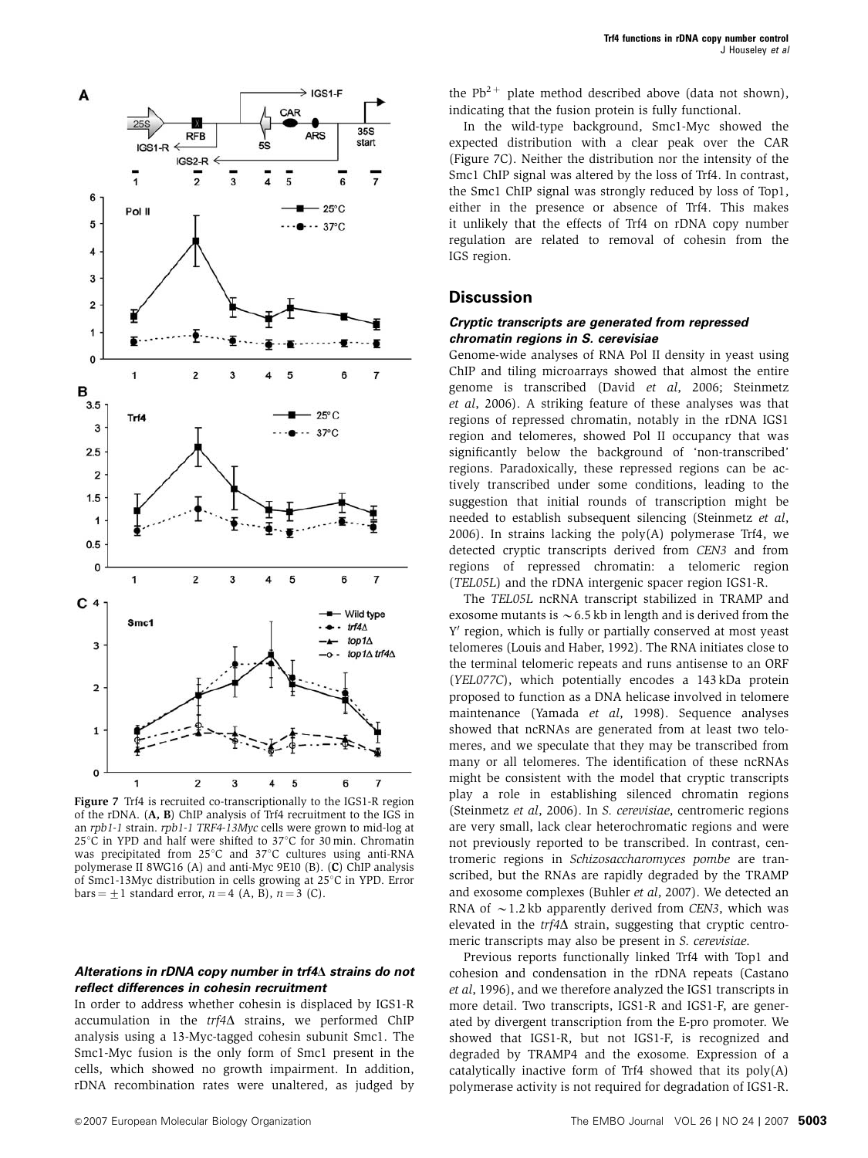<span id="page-7-0"></span>

Figure 7 Trf4 is recruited co-transcriptionally to the IGS1-R region of the rDNA. (A, B) ChIP analysis of Trf4 recruitment to the IGS in an rpb1-1 strain. rpb1-1 TRF4-13Myc cells were grown to mid-log at  $25^{\circ}$ C in YPD and half were shifted to  $37^{\circ}$ C for 30 min. Chromatin was precipitated from  $25^{\circ}$ C and  $37^{\circ}$ C cultures using anti-RNA polymerase II 8WG16 (A) and anti-Myc 9E10 (B). (C) ChIP analysis of Smc1-13Myc distribution in cells growing at  $25^{\circ}$ C in YPD. Error bars =  $\pm$ 1 standard error,  $n = 4$  (A, B),  $n = 3$  (C).

#### **Alterations in rDNA copy number in trf4**D **strains do not reflect differences in cohesin recruitment**

In order to address whether cohesin is displaced by IGS1-R accumulation in the  $trf4\Delta$  strains, we performed ChIP analysis using a 13-Myc-tagged cohesin subunit Smc1. The Smc1-Myc fusion is the only form of Smc1 present in the cells, which showed no growth impairment. In addition, rDNA recombination rates were unaltered, as judged by the  $Pb^{2+}$  plate method described above (data not shown), indicating that the fusion protein is fully functional.

In the wild-type background, Smc1-Myc showed the expected distribution with a clear peak over the CAR (Figure 7C). Neither the distribution nor the intensity of the Smc1 ChIP signal was altered by the loss of Trf4. In contrast, the Smc1 ChIP signal was strongly reduced by loss of Top1, either in the presence or absence of Trf4. This makes it unlikely that the effects of Trf4 on rDNA copy number regulation are related to removal of cohesin from the IGS region.

## **Discussion**

#### **Cryptic transcripts are generated from repressed chromatin regions in S. cerevisiae**

Genome-wide analyses of RNA Pol II density in yeast using ChIP and tiling microarrays showed that almost the entire genome is transcribed (David et al[, 2006](#page-9-0); [Steinmetz](#page-10-0) et al[, 2006](#page-10-0)). A striking feature of these analyses was that regions of repressed chromatin, notably in the rDNA IGS1 region and telomeres, showed Pol II occupancy that was significantly below the background of 'non-transcribed' regions. Paradoxically, these repressed regions can be actively transcribed under some conditions, leading to the suggestion that initial rounds of transcription might be needed to establish subsequent silencing [\(Steinmetz](#page-10-0) et al, [2006](#page-10-0)). In strains lacking the  $poly(A)$  polymerase Trf4, we detected cryptic transcripts derived from CEN3 and from regions of repressed chromatin: a telomeric region (TEL05L) and the rDNA intergenic spacer region IGS1-R.

The TEL05L ncRNA transcript stabilized in TRAMP and exosome mutants is  $\sim$  6.5 kb in length and is derived from the Y' region, which is fully or partially conserved at most yeast telomeres ([Louis and Haber, 1992](#page-10-0)). The RNA initiates close to the terminal telomeric repeats and runs antisense to an ORF (YEL077C), which potentially encodes a 143 kDa protein proposed to function as a DNA helicase involved in telomere maintenance [\(Yamada](#page-10-0) et al, 1998). Sequence analyses showed that ncRNAs are generated from at least two telomeres, and we speculate that they may be transcribed from many or all telomeres. The identification of these ncRNAs might be consistent with the model that cryptic transcripts play a role in establishing silenced chromatin regions [\(Steinmetz](#page-10-0) et al, 2006). In S. cerevisiae, centromeric regions are very small, lack clear heterochromatic regions and were not previously reported to be transcribed. In contrast, centromeric regions in Schizosaccharomyces pombe are transcribed, but the RNAs are rapidly degraded by the TRAMP and exosome complexes [\(Buhler](#page-9-0) et al, 2007). We detected an RNA of  $\sim$  1.2 kb apparently derived from CEN3, which was elevated in the  $trf4\Delta$  strain, suggesting that cryptic centromeric transcripts may also be present in S. cerevisiae.

Previous reports functionally linked Trf4 with Top1 and cohesion and condensation in the rDNA repeats ([Castano](#page-9-0) et al[, 1996](#page-9-0)), and we therefore analyzed the IGS1 transcripts in more detail. Two transcripts, IGS1-R and IGS1-F, are generated by divergent transcription from the E-pro promoter. We showed that IGS1-R, but not IGS1-F, is recognized and degraded by TRAMP4 and the exosome. Expression of a catalytically inactive form of Trf4 showed that its poly(A) polymerase activity is not required for degradation of IGS1-R.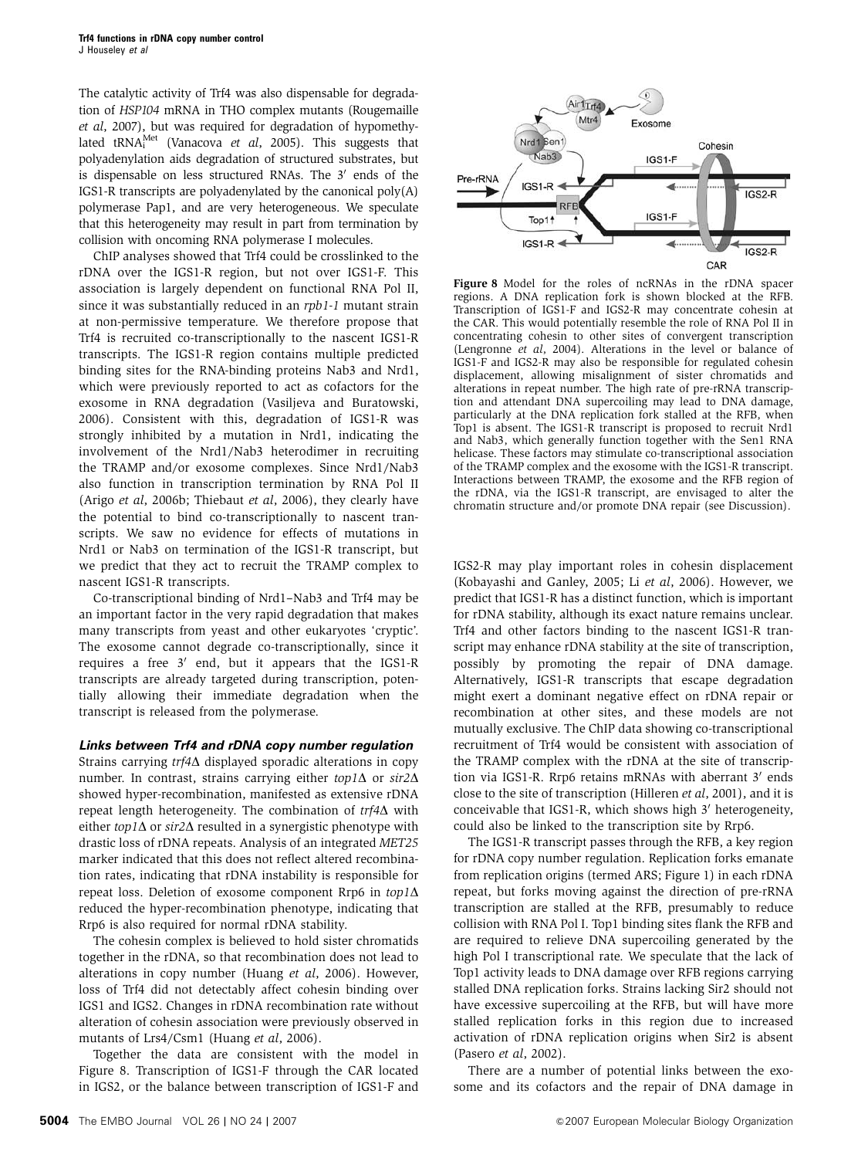The catalytic activity of Trf4 was also dispensable for degradation of HSP104 mRNA in THO complex mutants [\(Rougemaille](#page-10-0) et al[, 2007](#page-10-0)), but was required for degradation of hypomethylated  $\text{tRNA}_{\text{i}}^{\text{Met}}$  [\(Vanacova](#page-10-0) *et al*, 2005). This suggests that polyadenylation aids degradation of structured substrates, but is dispensable on less structured RNAs. The  $3'$  ends of the IGS1-R transcripts are polyadenylated by the canonical  $poly(A)$ polymerase Pap1, and are very heterogeneous. We speculate that this heterogeneity may result in part from termination by collision with oncoming RNA polymerase I molecules.

ChIP analyses showed that Trf4 could be crosslinked to the rDNA over the IGS1-R region, but not over IGS1-F. This association is largely dependent on functional RNA Pol II, since it was substantially reduced in an rpb1-1 mutant strain at non-permissive temperature. We therefore propose that Trf4 is recruited co-transcriptionally to the nascent IGS1-R transcripts. The IGS1-R region contains multiple predicted binding sites for the RNA-binding proteins Nab3 and Nrd1, which were previously reported to act as cofactors for the exosome in RNA degradation ([Vasiljeva and Buratowski,](#page-10-0) [2006](#page-10-0)). Consistent with this, degradation of IGS1-R was strongly inhibited by a mutation in Nrd1, indicating the involvement of the Nrd1/Nab3 heterodimer in recruiting the TRAMP and/or exosome complexes. Since Nrd1/Nab3 also function in transcription termination by RNA Pol II (Arigo et al[, 2006b;](#page-9-0) [Thiebaut](#page-10-0) et al, 2006), they clearly have the potential to bind co-transcriptionally to nascent transcripts. We saw no evidence for effects of mutations in Nrd1 or Nab3 on termination of the IGS1-R transcript, but we predict that they act to recruit the TRAMP complex to nascent IGS1-R transcripts.

Co-transcriptional binding of Nrd1–Nab3 and Trf4 may be an important factor in the very rapid degradation that makes many transcripts from yeast and other eukaryotes 'cryptic'. The exosome cannot degrade co-transcriptionally, since it requires a free  $3'$  end, but it appears that the IGS1-R transcripts are already targeted during transcription, potentially allowing their immediate degradation when the transcript is released from the polymerase.

#### **Links between Trf4 and rDNA copy number regulation**

Strains carrying  $trf4\Delta$  displayed sporadic alterations in copy number. In contrast, strains carrying either  $top1\Delta$  or  $sir2\Delta$ showed hyper-recombination, manifested as extensive rDNA repeat length heterogeneity. The combination of  $trf4\Delta$  with either top1 $\Delta$  or sir2 $\Delta$  resulted in a synergistic phenotype with drastic loss of rDNA repeats. Analysis of an integrated MET25 marker indicated that this does not reflect altered recombination rates, indicating that rDNA instability is responsible for repeat loss. Deletion of exosome component Rrp6 in  $top1\Delta$ reduced the hyper-recombination phenotype, indicating that Rrp6 is also required for normal rDNA stability.

The cohesin complex is believed to hold sister chromatids together in the rDNA, so that recombination does not lead to alterations in copy number [\(Huang](#page-10-0) et al, 2006). However, loss of Trf4 did not detectably affect cohesin binding over IGS1 and IGS2. Changes in rDNA recombination rate without alteration of cohesin association were previously observed in mutants of Lrs4/Csm1 [\(Huang](#page-10-0) et al, 2006).

Together the data are consistent with the model in Figure 8. Transcription of IGS1-F through the CAR located in IGS2, or the balance between transcription of IGS1-F and



Figure 8 Model for the roles of ncRNAs in the rDNA spacer regions. A DNA replication fork is shown blocked at the RFB. Transcription of IGS1-F and IGS2-R may concentrate cohesin at the CAR. This would potentially resemble the role of RNA Pol II in concentrating cohesin to other sites of convergent transcription [\(Lengronne](#page-10-0) et al, 2004). Alterations in the level or balance of IGS1-F and IGS2-R may also be responsible for regulated cohesin displacement, allowing misalignment of sister chromatids and alterations in repeat number. The high rate of pre-rRNA transcription and attendant DNA supercoiling may lead to DNA damage, particularly at the DNA replication fork stalled at the RFB, when Top1 is absent. The IGS1-R transcript is proposed to recruit Nrd1 and Nab3, which generally function together with the Sen1 RNA helicase. These factors may stimulate co-transcriptional association of the TRAMP complex and the exosome with the IGS1-R transcript. Interactions between TRAMP, the exosome and the RFB region of the rDNA, via the IGS1-R transcript, are envisaged to alter the chromatin structure and/or promote DNA repair (see Discussion).

IGS2-R may play important roles in cohesin displacement [\(Kobayashi and Ganley, 2005](#page-10-0); Li et al[, 2006](#page-10-0)). However, we predict that IGS1-R has a distinct function, which is important for rDNA stability, although its exact nature remains unclear. Trf4 and other factors binding to the nascent IGS1-R transcript may enhance rDNA stability at the site of transcription, possibly by promoting the repair of DNA damage. Alternatively, IGS1-R transcripts that escape degradation might exert a dominant negative effect on rDNA repair or recombination at other sites, and these models are not mutually exclusive. The ChIP data showing co-transcriptional recruitment of Trf4 would be consistent with association of the TRAMP complex with the rDNA at the site of transcription via IGS1-R. Rrp6 retains mRNAs with aberrant 3' ends close to the site of transcription [\(Hilleren](#page-10-0) et al, 2001), and it is conceivable that IGS1-R, which shows high 3' heterogeneity, could also be linked to the transcription site by Rrp6.

The IGS1-R transcript passes through the RFB, a key region for rDNA copy number regulation. Replication forks emanate from replication origins (termed ARS; [Figure 1\)](#page-1-0) in each rDNA repeat, but forks moving against the direction of pre-rRNA transcription are stalled at the RFB, presumably to reduce collision with RNA Pol I. Top1 binding sites flank the RFB and are required to relieve DNA supercoiling generated by the high Pol I transcriptional rate. We speculate that the lack of Top1 activity leads to DNA damage over RFB regions carrying stalled DNA replication forks. Strains lacking Sir2 should not have excessive supercoiling at the RFB, but will have more stalled replication forks in this region due to increased activation of rDNA replication origins when Sir2 is absent [\(Pasero](#page-10-0) et al, 2002).

There are a number of potential links between the exosome and its cofactors and the repair of DNA damage in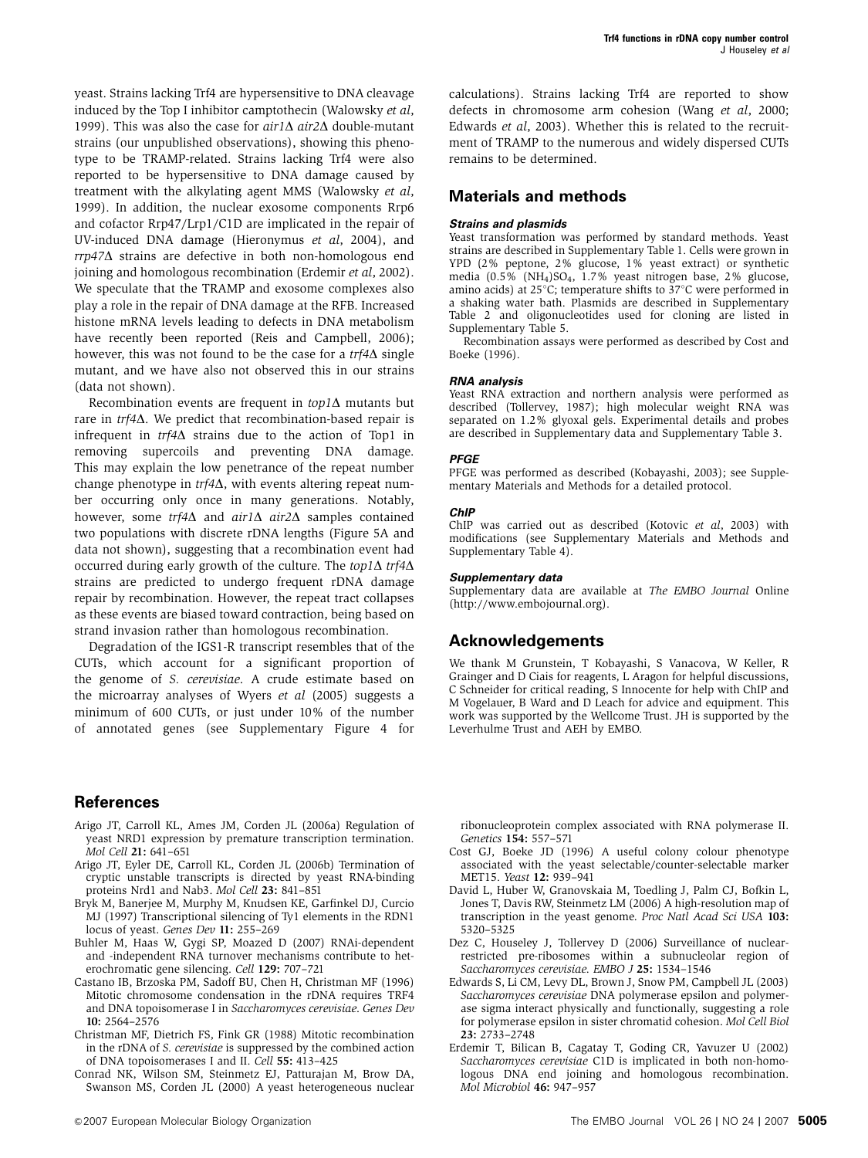<span id="page-9-0"></span>yeast. Strains lacking Trf4 are hypersensitive to DNA cleavage induced by the Top I inhibitor camptothecin ([Walowsky](#page-10-0) et al, [1999](#page-10-0)). This was also the case for  $air1\Delta$   $air2\Delta$  double-mutant strains (our unpublished observations), showing this phenotype to be TRAMP-related. Strains lacking Trf4 were also reported to be hypersensitive to DNA damage caused by treatment with the alkylating agent MMS ([Walowsky](#page-10-0) et al, [1999](#page-10-0)). In addition, the nuclear exosome components Rrp6 and cofactor Rrp47/Lrp1/C1D are implicated in the repair of UV-induced DNA damage [\(Hieronymus](#page-10-0) et al, 2004), and  $rrp47\Delta$  strains are defective in both non-homologous end joining and homologous recombination (Erdemir et al, 2002). We speculate that the TRAMP and exosome complexes also play a role in the repair of DNA damage at the RFB. Increased histone mRNA levels leading to defects in DNA metabolism have recently been reported [\(Reis and Campbell, 2006](#page-10-0)); however, this was not found to be the case for a  $trf4\Delta$  single mutant, and we have also not observed this in our strains (data not shown).

Recombination events are frequent in  $top1\Delta$  mutants but rare in  $trf4\Delta$ . We predict that recombination-based repair is infrequent in  $trf4\Delta$  strains due to the action of Top1 in removing supercoils and preventing DNA damage. This may explain the low penetrance of the repeat number change phenotype in  $trf4\Delta$ , with events altering repeat number occurring only once in many generations. Notably, however, some trf4 $\Delta$  and air1 $\Delta$  air2 $\Delta$  samples contained two populations with discrete rDNA lengths ([Figure 5A](#page-5-0) and data not shown), suggesting that a recombination event had occurred during early growth of the culture. The  $top1\Delta$  trf4 $\Delta$ strains are predicted to undergo frequent rDNA damage repair by recombination. However, the repeat tract collapses as these events are biased toward contraction, being based on strand invasion rather than homologous recombination.

Degradation of the IGS1-R transcript resembles that of the CUTs, which account for a significant proportion of the genome of S. cerevisiae. A crude estimate based on the microarray analyses of Wyers et al [\(2005\)](#page-10-0) suggests a minimum of 600 CUTs, or just under 10% of the number of annotated genes (see Supplementary Figure 4 for

# **References**

- Arigo JT, Carroll KL, Ames JM, Corden JL (2006a) Regulation of yeast NRD1 expression by premature transcription termination. Mol Cell 21: 641–651
- Arigo JT, Eyler DE, Carroll KL, Corden JL (2006b) Termination of cryptic unstable transcripts is directed by yeast RNA-binding proteins Nrd1 and Nab3. Mol Cell 23: 841–851
- Bryk M, Banerjee M, Murphy M, Knudsen KE, Garfinkel DJ, Curcio MJ (1997) Transcriptional silencing of Ty1 elements in the RDN1 locus of yeast. Genes Dev 11: 255–269
- Buhler M, Haas W, Gygi SP, Moazed D (2007) RNAi-dependent and -independent RNA turnover mechanisms contribute to heterochromatic gene silencing. Cell 129: 707–721
- Castano IB, Brzoska PM, Sadoff BU, Chen H, Christman MF (1996) Mitotic chromosome condensation in the rDNA requires TRF4 and DNA topoisomerase I in Saccharomyces cerevisiae. Genes Dev 10: 2564–2576
- Christman MF, Dietrich FS, Fink GR (1988) Mitotic recombination in the rDNA of S. cerevisiae is suppressed by the combined action of DNA topoisomerases I and II. Cell 55: 413–425
- Conrad NK, Wilson SM, Steinmetz EJ, Patturajan M, Brow DA, Swanson MS, Corden JL (2000) A yeast heterogeneous nuclear

calculations). Strains lacking Trf4 are reported to show defects in chromosome arm cohesion (Wang et al[, 2000;](#page-10-0) Edwards et al, 2003). Whether this is related to the recruitment of TRAMP to the numerous and widely dispersed CUTs remains to be determined.

# **Materials and methods**

# **Strains and plasmids**

Yeast transformation was performed by standard methods. Yeast strains are described in Supplementary Table 1. Cells were grown in YPD (2% peptone, 2% glucose, 1% yeast extract) or synthetic media (0.5% (NH4)SO4, 1.7% yeast nitrogen base, 2% glucose, amino acids) at  $25^{\circ}$ C; temperature shifts to  $37^{\circ}$ C were performed in a shaking water bath. Plasmids are described in Supplementary Table 2 and oligonucleotides used for cloning are listed in Supplementary Table 5.

Recombination assays were performed as described by Cost and Boeke (1996).

#### **RNA analysis**

Yeast RNA extraction and northern analysis were performed as described ([Tollervey, 1987](#page-10-0)); high molecular weight RNA was separated on 1.2% glyoxal gels. Experimental details and probes are described in Supplementary data and Supplementary Table 3.

#### **PFGE**

PFGE was performed as described [\(Kobayashi, 2003\)](#page-10-0); see Supplementary Materials and Methods for a detailed protocol.

#### **ChIP**

ChIP was carried out as described ([Kotovic](#page-10-0) et al, 2003) with modifications (see Supplementary Materials and Methods and Supplementary Table 4).

#### **Supplementary data**

Supplementary data are available at The EMBO Journal Online [\(http://www.embojournal.org\)](http://www.embojournal.org).

# **Acknowledgements**

We thank M Grunstein, T Kobayashi, S Vanacova, W Keller, R Grainger and D Ciais for reagents, L Aragon for helpful discussions, C Schneider for critical reading, S Innocente for help with ChIP and M Vogelauer, B Ward and D Leach for advice and equipment. This work was supported by the Wellcome Trust. JH is supported by the Leverhulme Trust and AEH by EMBO.

ribonucleoprotein complex associated with RNA polymerase II. Genetics 154: 557–571

- Cost GJ, Boeke JD (1996) A useful colony colour phenotype associated with the yeast selectable/counter-selectable marker MET15. Yeast 12: 939–941
- David L, Huber W, Granovskaia M, Toedling J, Palm CJ, Bofkin L, Jones T, Davis RW, Steinmetz LM (2006) A high-resolution map of transcription in the yeast genome. Proc Natl Acad Sci USA 103: 5320–5325
- Dez C, Houseley J, Tollervey D (2006) Surveillance of nuclearrestricted pre-ribosomes within a subnucleolar region of Saccharomyces cerevisiae. EMBO J 25: 1534–1546
- Edwards S, Li CM, Levy DL, Brown J, Snow PM, Campbell JL (2003) Saccharomyces cerevisiae DNA polymerase epsilon and polymerase sigma interact physically and functionally, suggesting a role for polymerase epsilon in sister chromatid cohesion. Mol Cell Biol 23: 2733–2748
- Erdemir T, Bilican B, Cagatay T, Goding CR, Yavuzer U (2002) Saccharomyces cerevisiae C1D is implicated in both non-homologous DNA end joining and homologous recombination. Mol Microbiol 46: 947–957